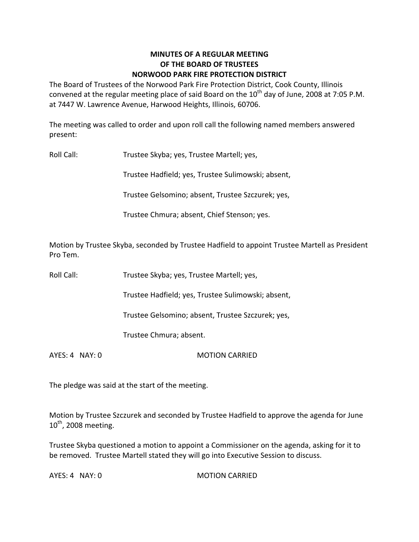## **MINUTES OF A REGULAR MEETING OF THE BOARD OF TRUSTEES NORWOOD PARK FIRE PROTECTION DISTRICT**

The Board of Trustees of the Norwood Park Fire Protection District, Cook County, Illinois convened at the regular meeting place of said Board on the  $10^{th}$  day of June, 2008 at 7:05 P.M. at 7447 W. Lawrence Avenue, Harwood Heights, Illinois, 60706.

The meeting was called to order and upon roll call the following named members answered present:

Roll Call: Trustee Skyba; yes, Trustee Martell; yes,

Trustee Hadfield; yes, Trustee Sulimowski; absent,

Trustee Gelsomino; absent, Trustee Szczurek; yes,

Trustee Chmura; absent, Chief Stenson; yes.

Motion by Trustee Skyba, seconded by Trustee Hadfield to appoint Trustee Martell as President Pro Tem.

Roll Call: Trustee Skyba; yes, Trustee Martell; yes,

Trustee Hadfield; yes, Trustee Sulimowski; absent,

Trustee Gelsomino; absent, Trustee Szczurek; yes,

Trustee Chmura; absent.

AYES: 4 NAY: 0 MOTION CARRIED

The pledge was said at the start of the meeting.

Motion by Trustee Szczurek and seconded by Trustee Hadfield to approve the agenda for June  $10^{\text{th}}$ , 2008 meeting.

Trustee Skyba questioned a motion to appoint a Commissioner on the agenda, asking for it to be removed. Trustee Martell stated they will go into Executive Session to discuss.

AYES: 4 NAY: 0 MOTION CARRIED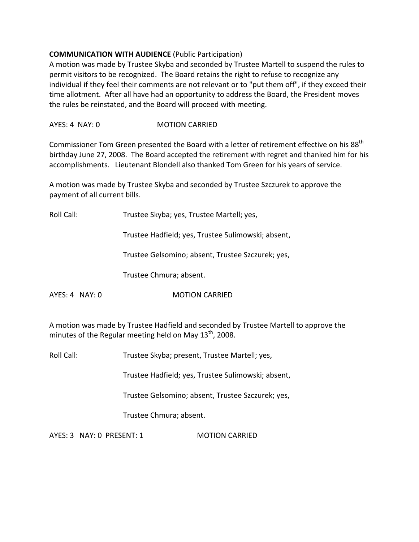## **COMMUNICATION WITH AUDIENCE** (Public Participation)

A motion was made by Trustee Skyba and seconded by Trustee Martell to suspend the rules to permit visitors to be recognized. The Board retains the right to refuse to recognize any individual if they feel their comments are not relevant or to "put them off", if they exceed their time allotment. After all have had an opportunity to address the Board, the President moves the rules be reinstated, and the Board will proceed with meeting.

AYES: 4 NAY: 0 **MOTION CARRIED** 

Commissioner Tom Green presented the Board with a letter of retirement effective on his 88<sup>th</sup> birthday June 27, 2008. The Board accepted the retirement with regret and thanked him for his accomplishments. Lieutenant Blondell also thanked Tom Green for his years of service.

A motion was made by Trustee Skyba and seconded by Trustee Szczurek to approve the payment of all current bills.

Roll Call: Trustee Skyba; yes, Trustee Martell; yes,

Trustee Hadfield; yes, Trustee Sulimowski; absent,

Trustee Gelsomino; absent, Trustee Szczurek; yes,

Trustee Chmura; absent.

AYES: 4 NAY: 0 **MOTION CARRIED** 

A motion was made by Trustee Hadfield and seconded by Trustee Martell to approve the minutes of the Regular meeting held on May 13<sup>th</sup>, 2008.

Roll Call: Trustee Skyba; present, Trustee Martell; yes,

Trustee Hadfield; yes, Trustee Sulimowski; absent,

Trustee Gelsomino; absent, Trustee Szczurek; yes,

Trustee Chmura; absent.

AYES: 3 NAY: 0 PRESENT: 1 MOTION CARRIED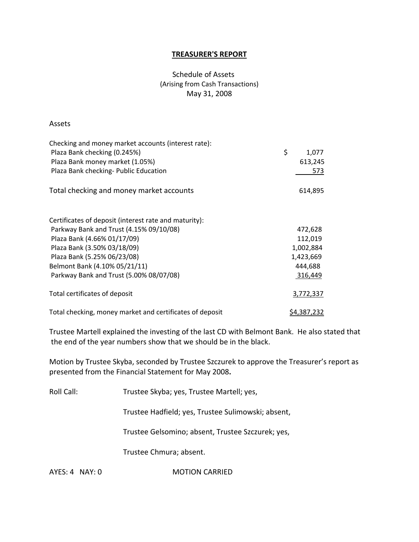#### **TREASURER'S REPORT**

## Schedule of Assets (Arising from Cash Transactions) May 31, 2008

#### Assets

| Checking and money market accounts (interest rate):      |             |
|----------------------------------------------------------|-------------|
| Plaza Bank checking (0.245%)                             | \$<br>1,077 |
| Plaza Bank money market (1.05%)                          | 613,245     |
| Plaza Bank checking- Public Education                    | 573         |
| Total checking and money market accounts                 | 614,895     |
| Certificates of deposit (interest rate and maturity):    |             |
| Parkway Bank and Trust (4.15% 09/10/08)                  | 472,628     |
| Plaza Bank (4.66% 01/17/09)                              | 112,019     |
| Plaza Bank (3.50% 03/18/09)                              | 1,002,884   |
| Plaza Bank (5.25% 06/23/08)                              | 1,423,669   |
| Belmont Bank (4.10% 05/21/11)                            | 444,688     |
| Parkway Bank and Trust (5.00% 08/07/08)                  | 316,449     |
| Total certificates of deposit                            | 3,772,337   |
| Total checking, money market and certificates of deposit | \$4,387,232 |

Trustee Martell explained the investing of the last CD with Belmont Bank. He also stated that the end of the year numbers show that we should be in the black.

Motion by Trustee Skyba, seconded by Trustee Szczurek to approve the Treasurer's report as presented from the Financial Statement for May 2008**.**

Roll Call: Trustee Skyba; yes, Trustee Martell; yes,

Trustee Hadfield; yes, Trustee Sulimowski; absent,

Trustee Gelsomino; absent, Trustee Szczurek; yes,

Trustee Chmura; absent.

AYES: 4 NAY: 0 **MOTION CARRIED**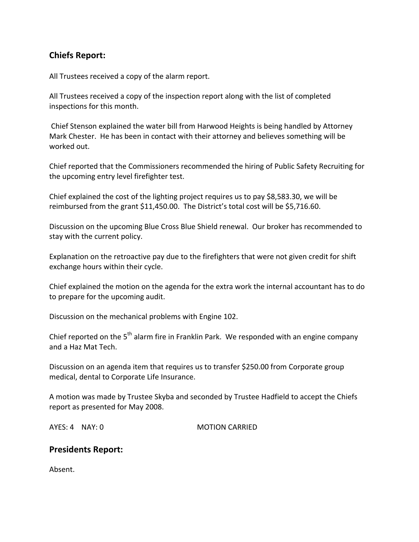# **Chiefs Report:**

All Trustees received a copy of the alarm report.

All Trustees received a copy of the inspection report along with the list of completed inspections for this month.

Chief Stenson explained the water bill from Harwood Heights is being handled by Attorney Mark Chester. He has been in contact with their attorney and believes something will be worked out.

Chief reported that the Commissioners recommended the hiring of Public Safety Recruiting for the upcoming entry level firefighter test.

Chief explained the cost of the lighting project requires us to pay \$8,583.30, we will be reimbursed from the grant \$11,450.00. The District's total cost will be \$5,716.60.

Discussion on the upcoming Blue Cross Blue Shield renewal. Our broker has recommended to stay with the current policy.

Explanation on the retroactive pay due to the firefighters that were not given credit for shift exchange hours within their cycle.

Chief explained the motion on the agenda for the extra work the internal accountant has to do to prepare for the upcoming audit.

Discussion on the mechanical problems with Engine 102.

Chief reported on the 5<sup>th</sup> alarm fire in Franklin Park. We responded with an engine company and a Haz Mat Tech.

Discussion on an agenda item that requires us to transfer \$250.00 from Corporate group medical, dental to Corporate Life Insurance.

A motion was made by Trustee Skyba and seconded by Trustee Hadfield to accept the Chiefs report as presented for May 2008.

AYES: 4 NAY: 0 MOTION CARRIED

# **Presidents Report:**

Absent.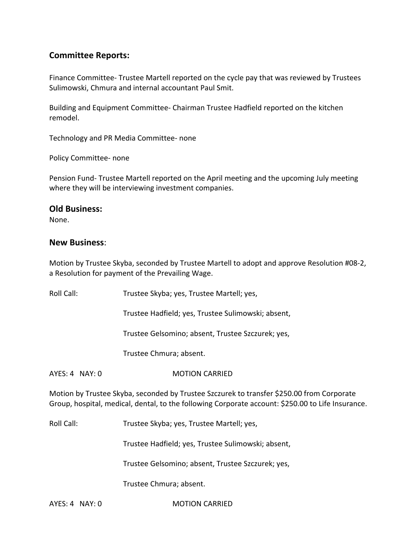# **Committee Reports:**

Finance Committee‐ Trustee Martell reported on the cycle pay that was reviewed by Trustees Sulimowski, Chmura and internal accountant Paul Smit.

Building and Equipment Committee‐ Chairman Trustee Hadfield reported on the kitchen remodel.

Technology and PR Media Committee‐ none

Policy Committee‐ none

Pension Fund‐ Trustee Martell reported on the April meeting and the upcoming July meeting where they will be interviewing investment companies.

## **Old Business:**

None.

## **New Business**:

Motion by Trustee Skyba, seconded by Trustee Martell to adopt and approve Resolution #08‐2, a Resolution for payment of the Prevailing Wage.

| Roll Call:                                                                                                                                                                                     | Trustee Skyba; yes, Trustee Martell; yes,          |
|------------------------------------------------------------------------------------------------------------------------------------------------------------------------------------------------|----------------------------------------------------|
|                                                                                                                                                                                                | Trustee Hadfield; yes, Trustee Sulimowski; absent, |
|                                                                                                                                                                                                | Trustee Gelsomino; absent, Trustee Szczurek; yes,  |
|                                                                                                                                                                                                | Trustee Chmura; absent.                            |
| $AYES: 4$ NAY: 0                                                                                                                                                                               | <b>MOTION CARRIED</b>                              |
| Motion by Trustee Skyba, seconded by Trustee Szczurek to transfer \$250.00 from Corporate<br>Group, hospital, medical, dental, to the following Corporate account: \$250.00 to Life Insurance. |                                                    |
| Roll Call:                                                                                                                                                                                     | Trustee Skyba; yes, Trustee Martell; yes,          |
|                                                                                                                                                                                                | Trustee Hadfield; yes, Trustee Sulimowski; absent, |
|                                                                                                                                                                                                | Trustee Gelsomino; absent, Trustee Szczurek; yes,  |

Trustee Chmura; absent.

AYES: 4 NAY: 0 **MOTION CARRIED**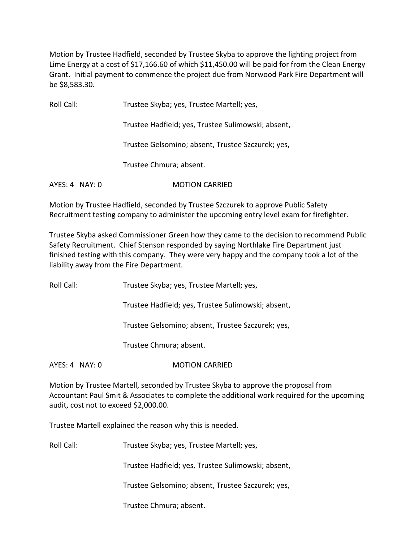Motion by Trustee Hadfield, seconded by Trustee Skyba to approve the lighting project from Lime Energy at a cost of \$17,166.60 of which \$11,450.00 will be paid for from the Clean Energy Grant. Initial payment to commence the project due from Norwood Park Fire Department will be \$8,583.30.

Roll Call: Trustee Skyba; yes, Trustee Martell; yes, Trustee Hadfield; yes, Trustee Sulimowski; absent, Trustee Gelsomino; absent, Trustee Szczurek; yes, Trustee Chmura; absent. AYES: 4 NAY: 0 **MOTION CARRIED** 

Motion by Trustee Hadfield, seconded by Trustee Szczurek to approve Public Safety Recruitment testing company to administer the upcoming entry level exam for firefighter.

Trustee Skyba asked Commissioner Green how they came to the decision to recommend Public Safety Recruitment. Chief Stenson responded by saying Northlake Fire Department just finished testing with this company. They were very happy and the company took a lot of the liability away from the Fire Department.

Roll Call: Trustee Skyba; yes, Trustee Martell; yes,

Trustee Hadfield; yes, Trustee Sulimowski; absent,

Trustee Gelsomino; absent, Trustee Szczurek; yes,

Trustee Chmura; absent.

AYES: 4 NAY: 0 **MOTION CARRIED** 

Motion by Trustee Martell, seconded by Trustee Skyba to approve the proposal from Accountant Paul Smit & Associates to complete the additional work required for the upcoming audit, cost not to exceed \$2,000.00.

Trustee Martell explained the reason why this is needed.

Roll Call: Trustee Skyba; yes, Trustee Martell; yes,

Trustee Hadfield; yes, Trustee Sulimowski; absent,

Trustee Gelsomino; absent, Trustee Szczurek; yes,

Trustee Chmura; absent.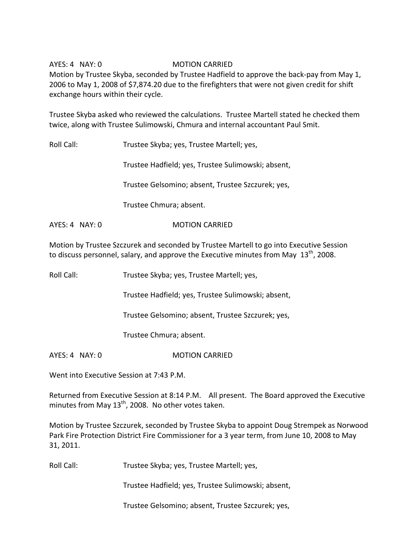## AYES: 4 NAY: 0 **MOTION CARRIED**

Motion by Trustee Skyba, seconded by Trustee Hadfield to approve the back‐pay from May 1, 2006 to May 1, 2008 of \$7,874.20 due to the firefighters that were not given credit for shift exchange hours within their cycle.

Trustee Skyba asked who reviewed the calculations. Trustee Martell stated he checked them twice, along with Trustee Sulimowski, Chmura and internal accountant Paul Smit.

Roll Call: Trustee Skyba; yes, Trustee Martell; yes,

Trustee Hadfield; yes, Trustee Sulimowski; absent,

Trustee Gelsomino; absent, Trustee Szczurek; yes,

Trustee Chmura; absent.

AYES: 4 NAY: 0 **MOTION CARRIED** 

Motion by Trustee Szczurek and seconded by Trustee Martell to go into Executive Session to discuss personnel, salary, and approve the Executive minutes from May  $13^{\text{th}}$ , 2008.

Roll Call: Trustee Skyba; yes, Trustee Martell; yes,

Trustee Hadfield; yes, Trustee Sulimowski; absent,

Trustee Gelsomino; absent, Trustee Szczurek; yes,

Trustee Chmura; absent.

AYES: 4 NAY: 0 MOTION CARRIED

Went into Executive Session at 7:43 P.M.

Returned from Executive Session at 8:14 P.M. All present. The Board approved the Executive minutes from May 13<sup>th</sup>, 2008. No other votes taken.

Motion by Trustee Szczurek, seconded by Trustee Skyba to appoint Doug Strempek as Norwood Park Fire Protection District Fire Commissioner for a 3 year term, from June 10, 2008 to May 31, 2011.

Roll Call: Trustee Skyba; yes, Trustee Martell; yes,

Trustee Hadfield; yes, Trustee Sulimowski; absent,

Trustee Gelsomino; absent, Trustee Szczurek; yes,